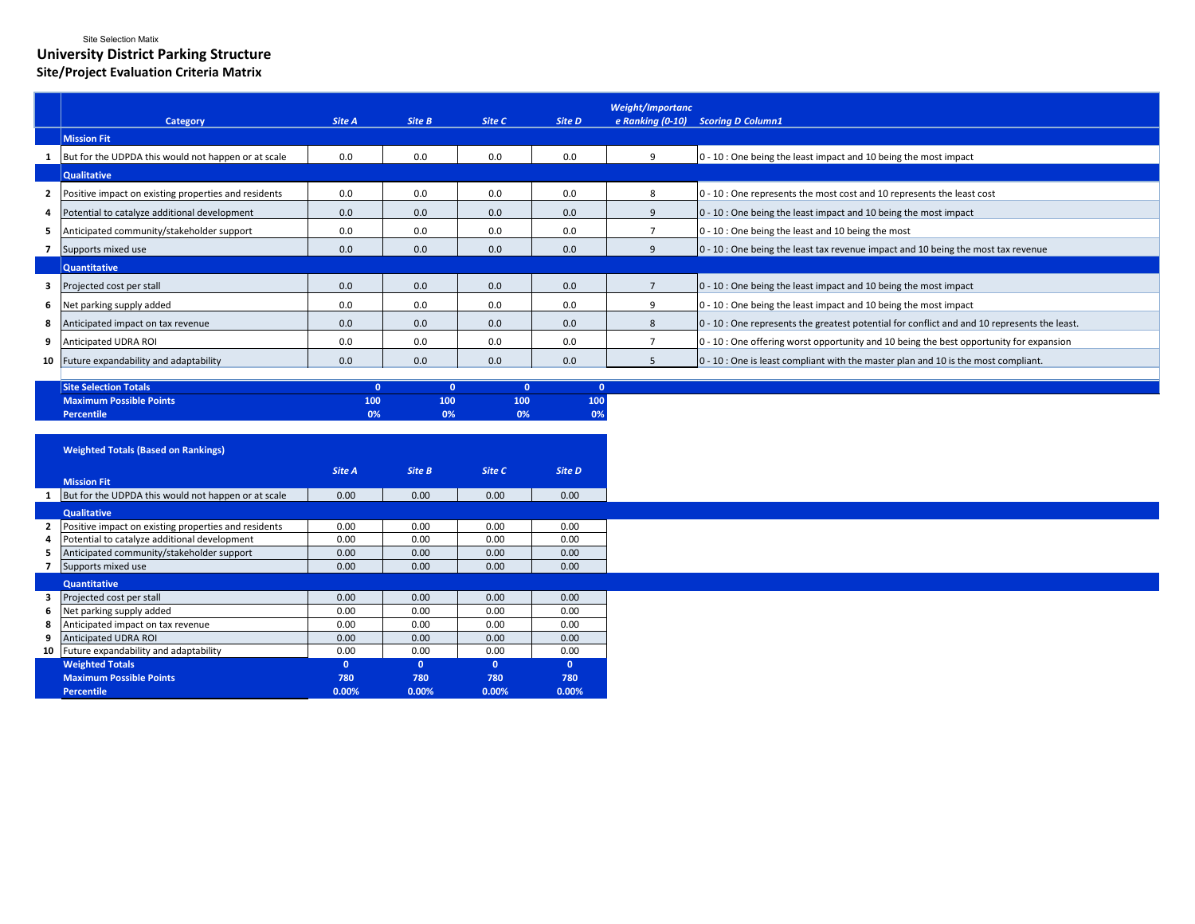## Site Selection Matix **University District Parking Structure Site/Project Evaluation Criteria Matrix**

|   |                                                      |        |        |        |        | Weight/Importanc |                                                                                              |
|---|------------------------------------------------------|--------|--------|--------|--------|------------------|----------------------------------------------------------------------------------------------|
|   | <b>Category</b>                                      | Site A | Site B | Site C | Site D | e Ranking (0-10) | <b>Scoring D Column1</b>                                                                     |
|   | <b>Mission Fit</b>                                   |        |        |        |        |                  |                                                                                              |
|   | But for the UDPDA this would not happen or at scale  | 0.0    | 0.0    | 0.0    | 0.0    | ٠Q               | 0 - 10 : One being the least impact and 10 being the most impact                             |
|   | <b>Qualitative</b>                                   |        |        |        |        |                  |                                                                                              |
|   | Positive impact on existing properties and residents | 0.0    | 0.0    | 0.0    | 0.0    |                  | 0 - 10 : One represents the most cost and 10 represents the least cost                       |
|   | Potential to catalyze additional development         | 0.0    | 0.0    | 0.0    | 0.0    |                  | 0 - 10 : One being the least impact and 10 being the most impact                             |
|   | 5 Anticipated community/stakeholder support          | 0.0    | 0.0    | 0.0    | 0.0    |                  | 0 - 10 : One being the least and 10 being the most                                           |
|   | Supports mixed use                                   | 0.0    | 0.0    | 0.0    | 0.0    |                  | 0 - 10 : One being the least tax revenue impact and 10 being the most tax revenue            |
|   | <b>Quantitative</b>                                  |        |        |        |        |                  |                                                                                              |
|   | Projected cost per stall                             | 0.0    | 0.0    | 0.0    | 0.0    |                  | 0 - 10 : One being the least impact and 10 being the most impact                             |
| 6 | Net parking supply added                             | 0.0    | 0.0    | 0.0    | 0.0    |                  | 0 - 10 : One being the least impact and 10 being the most impact                             |
| 8 | Anticipated impact on tax revenue                    | 0.0    | 0.0    | 0.0    | 0.0    | 8                | 0 - 10 : One represents the greatest potential for conflict and and 10 represents the least. |
|   | Anticipated UDRA ROI                                 | 0.0    | 0.0    | 0.0    | 0.0    |                  | 0 - 10 : One offering worst opportunity and 10 being the best opportunity for expansion      |
|   | 10 Future expandability and adaptability             | 0.0    | 0.0    | 0.0    | 0.0    |                  | 0 - 10 : One is least compliant with the master plan and 10 is the most compliant.           |
|   |                                                      |        |        |        |        |                  |                                                                                              |

| <b>Site Selection Totals</b> |     |    |     |     |
|------------------------------|-----|----|-----|-----|
| Maximum Possible Points      | 100 |    | 100 | 100 |
| <b>Percentile</b>            | 0%  | 0% | 0%  | 0%  |

|                | <b>Weighted Totals (Based on Rankings)</b>           |              |              |                 |               |
|----------------|------------------------------------------------------|--------------|--------------|-----------------|---------------|
|                | <b>Mission Fit</b>                                   | Site A       | Site B       | Site C          | <b>Site D</b> |
| 1              | But for the UDPDA this would not happen or at scale  | 0.00         | 0.00         | 0.00            | 0.00          |
|                | <b>Qualitative</b>                                   |              |              |                 |               |
| $\overline{2}$ | Positive impact on existing properties and residents | 0.00         | 0.00         | 0.00            | 0.00          |
| 4              | Potential to catalyze additional development         | 0.00         | 0.00         | 0.00            | 0.00          |
| 5              | Anticipated community/stakeholder support            | 0.00         | 0.00         | 0.00            | 0.00          |
| 7              | Supports mixed use                                   | 0.00         | 0.00         | 0.00            | 0.00          |
|                | <b>Quantitative</b>                                  |              |              |                 |               |
| 3              | Projected cost per stall                             | 0.00         | 0.00         | 0.00            | 0.00          |
| 6              | Net parking supply added                             | 0.00         | 0.00         | 0.00            | 0.00          |
| 8              | Anticipated impact on tax revenue                    | 0.00         | 0.00         | 0.00            | 0.00          |
| 9              | Anticipated UDRA ROI                                 | 0.00         | 0.00         | 0.00            | 0.00          |
| 10             | Future expandability and adaptability                | 0.00         | 0.00         | 0.00            | 0.00          |
|                | <b>Weighted Totals</b>                               | $\mathbf 0$  | $\mathbf 0$  | $\mathbf 0$     | $\mathbf{0}$  |
|                | <b>Maximum Possible Points</b><br><b>Percentile</b>  | 780<br>0.00% | 780<br>0.00% | 780<br>$0.00\%$ | 780<br>0.00%  |